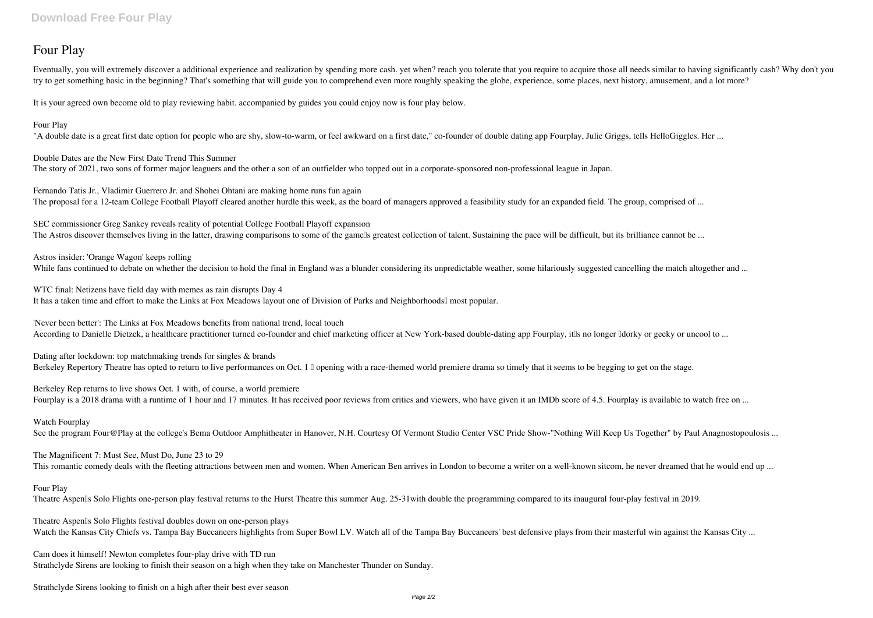# **Four Play**

Eventually, you will extremely discover a additional experience and realization by spending more cash, yet when? reach you tolerate that you require to acquire those all needs similar to having significantly cash? Why don' try to get something basic in the beginning? That's something that will guide you to comprehend even more roughly speaking the globe, experience, some places, next history, amusement, and a lot more?

**Fernando Tatis Jr., Vladimir Guerrero Jr. and Shohei Ohtani are making home runs fun again** The proposal for a 12-team College Football Playoff cleared another hurdle this week, as the board of managers approved a feasibility study for an expanded field. The group, comprised of ...

It is your agreed own become old to play reviewing habit. accompanied by guides you could enjoy now is **four play** below.

## **Four Play**

"A double date is a great first date option for people who are shy, slow-to-warm, or feel awkward on a first date," co-founder of double dating app Fourplay, Julie Griggs, tells HelloGiggles. Her ...

**SEC commissioner Greg Sankey reveals reality of potential College Football Playoff expansion** The Astros discover themselves living in the latter, drawing comparisons to some of the gamells greatest collection of talent. Sustaining the pace will be difficult, but its brilliance cannot be ...

**Astros insider: 'Orange Wagon' keeps rolling** While fans continued to debate on whether the decision to hold the final in England was a blunder considering its unpredictable weather, some hilariously suggested cancelling the match altogether and ...

# **Double Dates are the New First Date Trend This Summer**

**WTC final: Netizens have field day with memes as rain disrupts Day 4** It has a taken time and effort to make the Links at Fox Meadows layout one of Division of Parks and Neighborhoods<sup>'</sup> most popular.

The story of 2021, two sons of former major leaguers and the other a son of an outfielder who topped out in a corporate-sponsored non-professional league in Japan.

**'Never been better': The Links at Fox Meadows benefits from national trend, local touch** According to Danielle Dietzek, a healthcare practitioner turned co-founder and chief marketing officer at New York-based double-dating app Fourplay, it is no longer ldorky or geeky or uncool to ...

**Dating after lockdown: top matchmaking trends for singles & brands** Berkeley Repertory Theatre has opted to return to live performances on Oct. 1 Dopening with a race-themed world premiere drama so timely that it seems to be begging to get on the stage.

**Berkeley Rep returns to live shows Oct. 1 with, of course, a world premiere** Fourplay is a 2018 drama with a runtime of 1 hour and 17 minutes. It has received poor reviews from critics and viewers, who have given it an IMDb score of 4.5. Fourplay is available to watch free on ...

# **Watch Fourplay**

See the program Four@Play at the college's Bema Outdoor Amphitheater in Hanover, N.H. Courtesy Of Vermont Studio Center VSC Pride Show-"Nothing Will Keep Us Together" by Paul Anagnostopoulosis ...

### **The Magnificent 7: Must See, Must Do, June 23 to 29**

This romantic comedy deals with the fleeting attractions between men and women. When American Ben arrives in London to become a writer on a well-known sitcom, he never dreamed that he would end up ...

### **Four Play**

Theatre Aspen<sup>'s</sup> Solo Flights one-person play festival returns to the Hurst Theatre this summer Aug. 25-31 with double the programming compared to its inaugural four-play festival in 2019.

**Theatre Aspen's Solo Flights festival doubles down on one-person plays** Watch the Kansas City Chiefs vs. Tampa Bay Buccaneers highlights from Super Bowl LV. Watch all of the Tampa Bay Buccaneers' best defensive plays from their masterful win against the Kansas City ...

**Cam does it himself! Newton completes four-play drive with TD run** Strathclyde Sirens are looking to finish their season on a high when they take on Manchester Thunder on Sunday.

**Strathclyde Sirens looking to finish on a high after their best ever season**